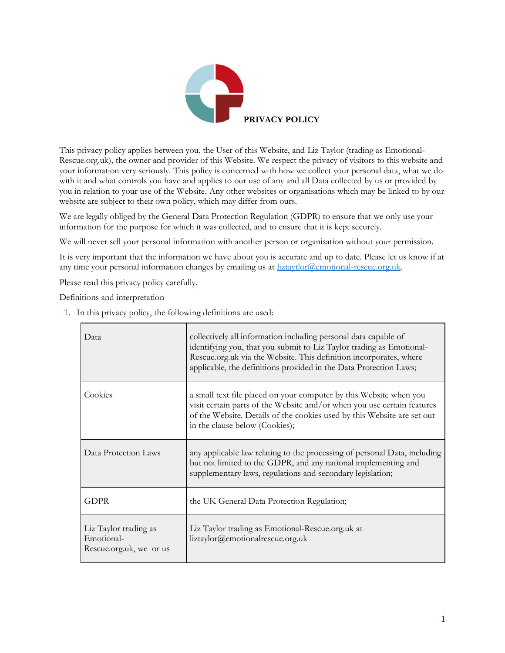

This privacy policy applies between you, the User of this Website, and Liz Taylor (trading as Emotional-Rescue.org.uk), the owner and provider of this Website. We respect the privacy of visitors to this website and your information very seriously. This policy is concerned with how we collect your personal data, what we do with it and what controls you have and applies to our use of any and all Data collected by us or provided by you in relation to your use of the Website. Any other websites or organisations which may be linked to by our website are subject to their own policy, which may differ from ours.

We are legally obliged by the General Data Protection Regulation (GDPR) to ensure that we only use your information for the purpose for which it was collected, and to ensure that it is kept securely.

We will never sell your personal information with another person or organisation without your permission.

It is very important that the information we have about you is accurate and up to date. Please let us know if at any time your personal information changes by emailing us at [liztaytlor@emotional-rescue.org.uk.](mailto:liztaytlor@emotional-rescue.org.uk)

Please read this privacy policy carefully.

Definitions and interpretation

 $\overline{a}$ 

| Data                                                           | collectively all information including personal data capable of<br>identifying you, that you submit to Liz Taylor trading as Emotional-<br>Rescue.org.uk via the Website. This definition incorporates, where<br>applicable, the definitions provided in the Data Protection Laws; |
|----------------------------------------------------------------|------------------------------------------------------------------------------------------------------------------------------------------------------------------------------------------------------------------------------------------------------------------------------------|
| Cookies                                                        | a small text file placed on your computer by this Website when you<br>visit certain parts of the Website and/or when you use certain features<br>of the Website. Details of the cookies used by this Website are set out<br>in the clause below (Cookies);                         |
| Data Protection Laws                                           | any applicable law relating to the processing of personal Data, including<br>but not limited to the GDPR, and any national implementing and<br>supplementary laws, regulations and secondary legislation;                                                                          |
| <b>GDPR</b>                                                    | the UK General Data Protection Regulation;                                                                                                                                                                                                                                         |
| Liz Taylor trading as<br>Emotional-<br>Rescue.org.uk, we or us | Liz Taylor trading as Emotional-Rescue.org.uk at<br>liztaylor@emotionalrescue.org.uk                                                                                                                                                                                               |

1. In this privacy policy, the following definitions are used: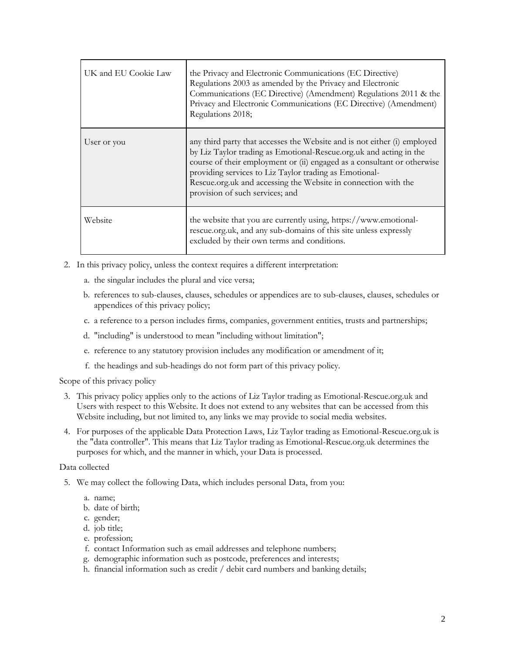| UK and EU Cookie Law | the Privacy and Electronic Communications (EC Directive)<br>Regulations 2003 as amended by the Privacy and Electronic<br>Communications (EC Directive) (Amendment) Regulations 2011 & the<br>Privacy and Electronic Communications (EC Directive) (Amendment)<br>Regulations 2018;                                                                                                       |
|----------------------|------------------------------------------------------------------------------------------------------------------------------------------------------------------------------------------------------------------------------------------------------------------------------------------------------------------------------------------------------------------------------------------|
| User or you          | any third party that accesses the Website and is not either (i) employed<br>by Liz Taylor trading as Emotional-Rescue.org.uk and acting in the<br>course of their employment or (ii) engaged as a consultant or otherwise<br>providing services to Liz Taylor trading as Emotional-<br>Rescue.org.uk and accessing the Website in connection with the<br>provision of such services; and |
| Website              | the website that you are currently using, https://www.emotional-<br>rescue.org.uk, and any sub-domains of this site unless expressly<br>excluded by their own terms and conditions.                                                                                                                                                                                                      |

- 2. In this privacy policy, unless the context requires a different interpretation:
	- a. the singular includes the plural and vice versa;
	- b. references to sub-clauses, clauses, schedules or appendices are to sub-clauses, clauses, schedules or appendices of this privacy policy;
	- c. a reference to a person includes firms, companies, government entities, trusts and partnerships;
	- d. "including" is understood to mean "including without limitation";
	- e. reference to any statutory provision includes any modification or amendment of it;
	- f. the headings and sub-headings do not form part of this privacy policy.

Scope of this privacy policy

- 3. This privacy policy applies only to the actions of Liz Taylor trading as Emotional-Rescue.org.uk and Users with respect to this Website. It does not extend to any websites that can be accessed from this Website including, but not limited to, any links we may provide to social media websites.
- 4. For purposes of the applicable Data Protection Laws, Liz Taylor trading as Emotional-Rescue.org.uk is the "data controller". This means that Liz Taylor trading as Emotional-Rescue.org.uk determines the purposes for which, and the manner in which, your Data is processed.

### Data collected

- 5. We may collect the following Data, which includes personal Data, from you:
	- a. name;
	- b. date of birth;
	- c. gender;
	- d. job title;
	- e. profession;
	- f. contact Information such as email addresses and telephone numbers;
	- g. demographic information such as postcode, preferences and interests;
	- h. financial information such as credit / debit card numbers and banking details;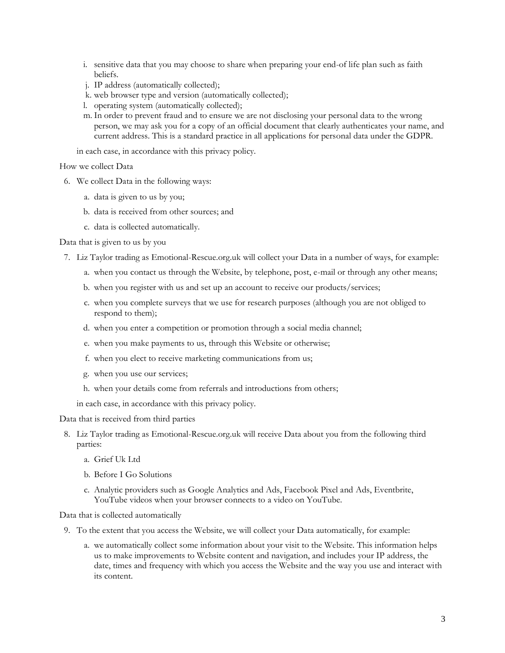- i. sensitive data that you may choose to share when preparing your end-of life plan such as faith beliefs.
- j. IP address (automatically collected);
- k. web browser type and version (automatically collected);
- l. operating system (automatically collected);
- m. In order to prevent fraud and to ensure we are not disclosing your personal data to the wrong person, we may ask you for a copy of an official document that clearly authenticates your name, and current address. This is a standard practice in all applications for personal data under the GDPR.

in each case, in accordance with this privacy policy.

How we collect Data

- 6. We collect Data in the following ways:
	- a. data is given to us by you;
	- b. data is received from other sources; and
	- c. data is collected automatically.

Data that is given to us by you

- 7. Liz Taylor trading as Emotional-Rescue.org.uk will collect your Data in a number of ways, for example:
	- a. when you contact us through the Website, by telephone, post, e-mail or through any other means;
	- b. when you register with us and set up an account to receive our products/services;
	- c. when you complete surveys that we use for research purposes (although you are not obliged to respond to them);
	- d. when you enter a competition or promotion through a social media channel;
	- e. when you make payments to us, through this Website or otherwise;
	- f. when you elect to receive marketing communications from us;
	- g. when you use our services;
	- h. when your details come from referrals and introductions from others;

in each case, in accordance with this privacy policy.

Data that is received from third parties

- 8. Liz Taylor trading as Emotional-Rescue.org.uk will receive Data about you from the following third parties:
	- a. Grief Uk Ltd
	- b. Before I Go Solutions
	- c. Analytic providers such as Google Analytics and Ads, Facebook Pixel and Ads, Eventbrite, YouTube videos when your browser connects to a video on YouTube.

Data that is collected automatically

- 9. To the extent that you access the Website, we will collect your Data automatically, for example:
	- a. we automatically collect some information about your visit to the Website. This information helps us to make improvements to Website content and navigation, and includes your IP address, the date, times and frequency with which you access the Website and the way you use and interact with its content.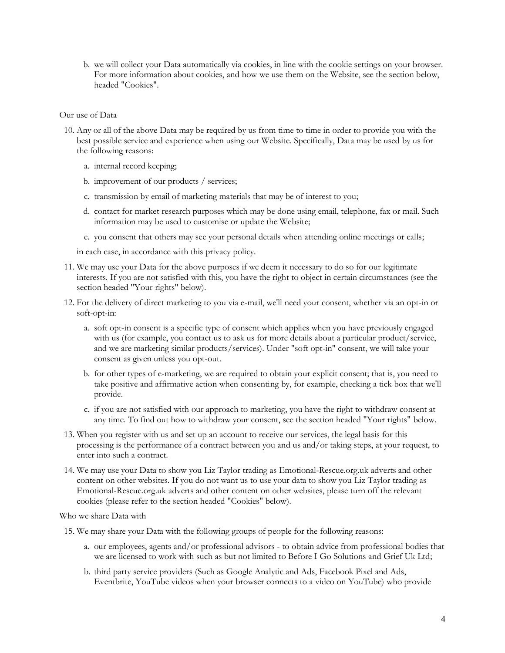b. we will collect your Data automatically via cookies, in line with the cookie settings on your browser. For more information about cookies, and how we use them on the Website, see the section below, headed "Cookies".

#### Our use of Data

- 10. Any or all of the above Data may be required by us from time to time in order to provide you with the best possible service and experience when using our Website. Specifically, Data may be used by us for the following reasons:
	- a. internal record keeping;
	- b. improvement of our products / services;
	- c. transmission by email of marketing materials that may be of interest to you;
	- d. contact for market research purposes which may be done using email, telephone, fax or mail. Such information may be used to customise or update the Website;
	- e. you consent that others may see your personal details when attending online meetings or calls;

in each case, in accordance with this privacy policy.

- 11. We may use your Data for the above purposes if we deem it necessary to do so for our legitimate interests. If you are not satisfied with this, you have the right to object in certain circumstances (see the section headed "Your rights" below).
- 12. For the delivery of direct marketing to you via e-mail, we'll need your consent, whether via an opt-in or soft-opt-in:
	- a. soft opt-in consent is a specific type of consent which applies when you have previously engaged with us (for example, you contact us to ask us for more details about a particular product/service, and we are marketing similar products/services). Under "soft opt-in" consent, we will take your consent as given unless you opt-out.
	- b. for other types of e-marketing, we are required to obtain your explicit consent; that is, you need to take positive and affirmative action when consenting by, for example, checking a tick box that we'll provide.
	- c. if you are not satisfied with our approach to marketing, you have the right to withdraw consent at any time. To find out how to withdraw your consent, see the section headed "Your rights" below.
- 13. When you register with us and set up an account to receive our services, the legal basis for this processing is the performance of a contract between you and us and/or taking steps, at your request, to enter into such a contract.
- 14. We may use your Data to show you Liz Taylor trading as Emotional-Rescue.org.uk adverts and other content on other websites. If you do not want us to use your data to show you Liz Taylor trading as Emotional-Rescue.org.uk adverts and other content on other websites, please turn off the relevant cookies (please refer to the section headed "Cookies" below).

Who we share Data with

- 15. We may share your Data with the following groups of people for the following reasons:
	- a. our employees, agents and/or professional advisors to obtain advice from professional bodies that we are licensed to work with such as but not limited to Before I Go Solutions and Grief Uk Ltd;
	- b. third party service providers (Such as Google Analytic and Ads, Facebook Pixel and Ads, Eventbrite, YouTube videos when your browser connects to a video on YouTube) who provide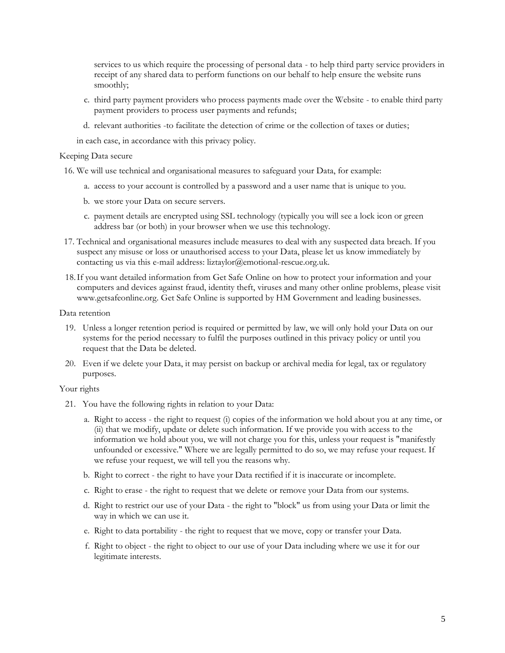services to us which require the processing of personal data - to help third party service providers in receipt of any shared data to perform functions on our behalf to help ensure the website runs smoothly;

- c. third party payment providers who process payments made over the Website to enable third party payment providers to process user payments and refunds;
- d. relevant authorities -to facilitate the detection of crime or the collection of taxes or duties;

in each case, in accordance with this privacy policy.

### Keeping Data secure

- 16. We will use technical and organisational measures to safeguard your Data, for example:
	- a. access to your account is controlled by a password and a user name that is unique to you.
	- b. we store your Data on secure servers.
	- c. payment details are encrypted using SSL technology (typically you will see a lock icon or green address bar (or both) in your browser when we use this technology.
- 17. Technical and organisational measures include measures to deal with any suspected data breach. If you suspect any misuse or loss or unauthorised access to your Data, please let us know immediately by contacting us via this e-mail address: liztaylor@emotional-rescue.org.uk.
- 18.If you want detailed information from Get Safe Online on how to protect your information and your computers and devices against fraud, identity theft, viruses and many other online problems, please visit www.getsafeonline.org. Get Safe Online is supported by HM Government and leading businesses.

### Data retention

- 19. Unless a longer retention period is required or permitted by law, we will only hold your Data on our systems for the period necessary to fulfil the purposes outlined in this privacy policy or until you request that the Data be deleted.
- 20. Even if we delete your Data, it may persist on backup or archival media for legal, tax or regulatory purposes.

### Your rights

- 21. You have the following rights in relation to your Data:
	- a. Right to access the right to request (i) copies of the information we hold about you at any time, or (ii) that we modify, update or delete such information. If we provide you with access to the information we hold about you, we will not charge you for this, unless your request is "manifestly unfounded or excessive." Where we are legally permitted to do so, we may refuse your request. If we refuse your request, we will tell you the reasons why.
	- b. Right to correct the right to have your Data rectified if it is inaccurate or incomplete.
	- c. Right to erase the right to request that we delete or remove your Data from our systems.
	- d. Right to restrict our use of your Data the right to "block" us from using your Data or limit the way in which we can use it.
	- e. Right to data portability the right to request that we move, copy or transfer your Data.
	- f. Right to object the right to object to our use of your Data including where we use it for our legitimate interests.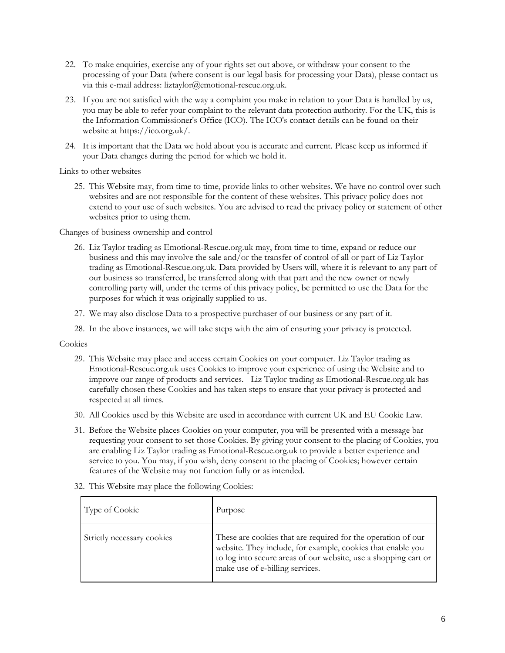- 22. To make enquiries, exercise any of your rights set out above, or withdraw your consent to the processing of your Data (where consent is our legal basis for processing your Data), please contact us via this e-mail address: liztaylor@emotional-rescue.org.uk.
- 23. If you are not satisfied with the way a complaint you make in relation to your Data is handled by us, you may be able to refer your complaint to the relevant data protection authority. For the UK, this is the Information Commissioner's Office (ICO). The ICO's contact details can be found on their website at https://ico.org.uk/.
- 24. It is important that the Data we hold about you is accurate and current. Please keep us informed if your Data changes during the period for which we hold it.

Links to other websites

25. This Website may, from time to time, provide links to other websites. We have no control over such websites and are not responsible for the content of these websites. This privacy policy does not extend to your use of such websites. You are advised to read the privacy policy or statement of other websites prior to using them.

Changes of business ownership and control

- 26. Liz Taylor trading as Emotional-Rescue.org.uk may, from time to time, expand or reduce our business and this may involve the sale and/or the transfer of control of all or part of Liz Taylor trading as Emotional-Rescue.org.uk. Data provided by Users will, where it is relevant to any part of our business so transferred, be transferred along with that part and the new owner or newly controlling party will, under the terms of this privacy policy, be permitted to use the Data for the purposes for which it was originally supplied to us.
- 27. We may also disclose Data to a prospective purchaser of our business or any part of it.
- 28. In the above instances, we will take steps with the aim of ensuring your privacy is protected.

### Cookies

- 29. This Website may place and access certain Cookies on your computer. Liz Taylor trading as Emotional-Rescue.org.uk uses Cookies to improve your experience of using the Website and to improve our range of products and services. Liz Taylor trading as Emotional-Rescue.org.uk has carefully chosen these Cookies and has taken steps to ensure that your privacy is protected and respected at all times.
- 30. All Cookies used by this Website are used in accordance with current UK and EU Cookie Law.
- 31. Before the Website places Cookies on your computer, you will be presented with a message bar requesting your consent to set those Cookies. By giving your consent to the placing of Cookies, you are enabling Liz Taylor trading as Emotional-Rescue.org.uk to provide a better experience and service to you. You may, if you wish, deny consent to the placing of Cookies; however certain features of the Website may not function fully or as intended.

| Type of Cookie             | Purpose                                                                                                                                                                                                                           |
|----------------------------|-----------------------------------------------------------------------------------------------------------------------------------------------------------------------------------------------------------------------------------|
| Strictly necessary cookies | These are cookies that are required for the operation of our<br>website. They include, for example, cookies that enable you<br>to log into secure areas of our website, use a shopping cart or<br>make use of e-billing services. |

32. This Website may place the following Cookies: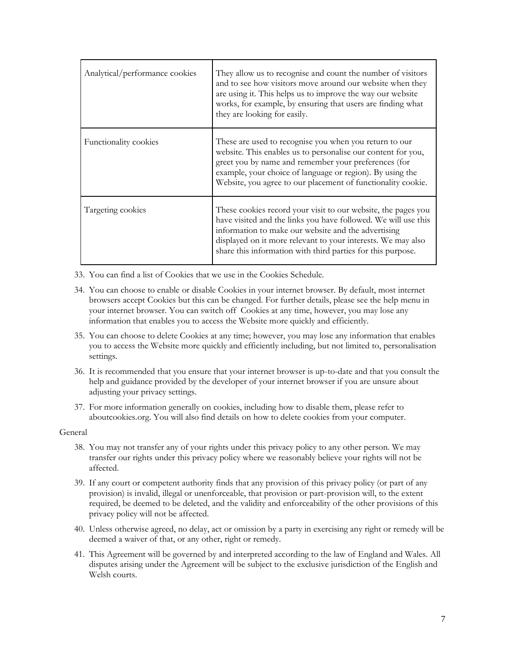| Analytical/performance cookies | They allow us to recognise and count the number of visitors<br>and to see how visitors move around our website when they<br>are using it. This helps us to improve the way our website<br>works, for example, by ensuring that users are finding what<br>they are looking for easily.                                 |
|--------------------------------|-----------------------------------------------------------------------------------------------------------------------------------------------------------------------------------------------------------------------------------------------------------------------------------------------------------------------|
| Functionality cookies          | These are used to recognise you when you return to our<br>website. This enables us to personalise our content for you,<br>greet you by name and remember your preferences (for<br>example, your choice of language or region). By using the<br>Website, you agree to our placement of functionality cookie.           |
| Targeting cookies              | These cookies record your visit to our website, the pages you<br>have visited and the links you have followed. We will use this<br>information to make our website and the advertising<br>displayed on it more relevant to your interests. We may also<br>share this information with third parties for this purpose. |

33. You can find a list of Cookies that we use in the Cookies Schedule.

- 34. You can choose to enable or disable Cookies in your internet browser. By default, most internet browsers accept Cookies but this can be changed. For further details, please see the help menu in your internet browser. You can switch off Cookies at any time, however, you may lose any information that enables you to access the Website more quickly and efficiently.
- 35. You can choose to delete Cookies at any time; however, you may lose any information that enables you to access the Website more quickly and efficiently including, but not limited to, personalisation settings.
- 36. It is recommended that you ensure that your internet browser is up-to-date and that you consult the help and guidance provided by the developer of your internet browser if you are unsure about adjusting your privacy settings.
- 37. For more information generally on cookies, including how to disable them, please refer to aboutcookies.org. You will also find details on how to delete cookies from your computer.

### General

- 38. You may not transfer any of your rights under this privacy policy to any other person. We may transfer our rights under this privacy policy where we reasonably believe your rights will not be affected.
- 39. If any court or competent authority finds that any provision of this privacy policy (or part of any provision) is invalid, illegal or unenforceable, that provision or part-provision will, to the extent required, be deemed to be deleted, and the validity and enforceability of the other provisions of this privacy policy will not be affected.
- 40. Unless otherwise agreed, no delay, act or omission by a party in exercising any right or remedy will be deemed a waiver of that, or any other, right or remedy.
- 41. This Agreement will be governed by and interpreted according to the law of England and Wales. All disputes arising under the Agreement will be subject to the exclusive jurisdiction of the English and Welsh courts.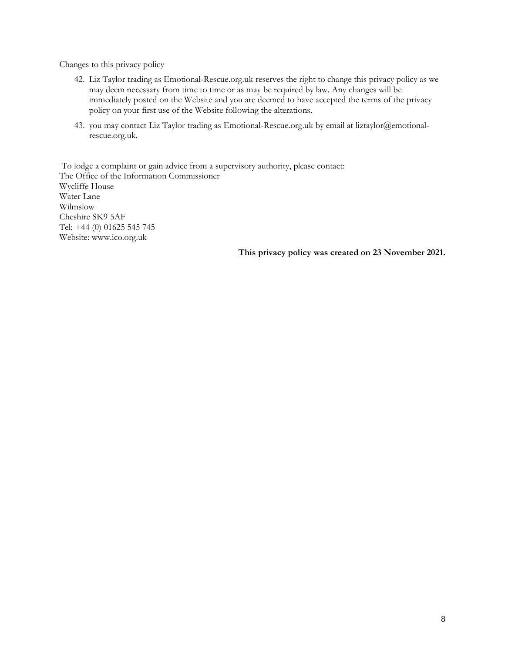Changes to this privacy policy

- 42. Liz Taylor trading as Emotional-Rescue.org.uk reserves the right to change this privacy policy as we may deem necessary from time to time or as may be required by law. Any changes will be immediately posted on the Website and you are deemed to have accepted the terms of the privacy policy on your first use of the Website following the alterations.
- 43. you may contact Liz Taylor trading as Emotional-Rescue.org.uk by email at liztaylor@emotionalrescue.org.uk.

To lodge a complaint or gain advice from a supervisory authority, please contact: The Office of the Information Commissioner Wycliffe House Water Lane Wilmslow Cheshire SK9 5AF Tel: +44 (0) 01625 545 745 Website: www.ico.org.uk

**This privacy policy was created on 23 November 2021.**